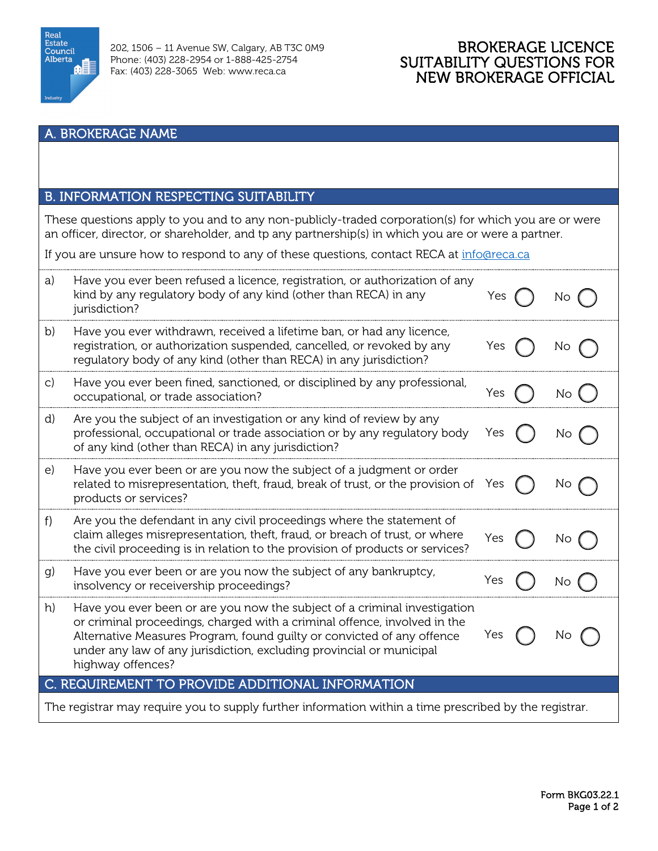

# BROKERAGE LICENCE SUITABILITY QUESTIONS FOR NEW BROKERAGE OFFICIAL

#### A. BROKERAGE NAME

## B. INFORMATION RESPECTING SUITABILITY

These questions apply to you and to any non-publicly-traded corporation(s) for which you are or were an officer, director, or shareholder, and tp any partnership(s) in which you are or were a partner.

If you are unsure how to respond to any of these questions, contact RECA at [info@reca.ca](mailto:info@reca.ca)

| C. REQUIREMENT TO PROVIDE ADDITIONAL INFORMATION                                                       |  |  |
|--------------------------------------------------------------------------------------------------------|--|--|
| The registrar may require you to supply further information within a time prescribed by the registrar. |  |  |
|                                                                                                        |  |  |